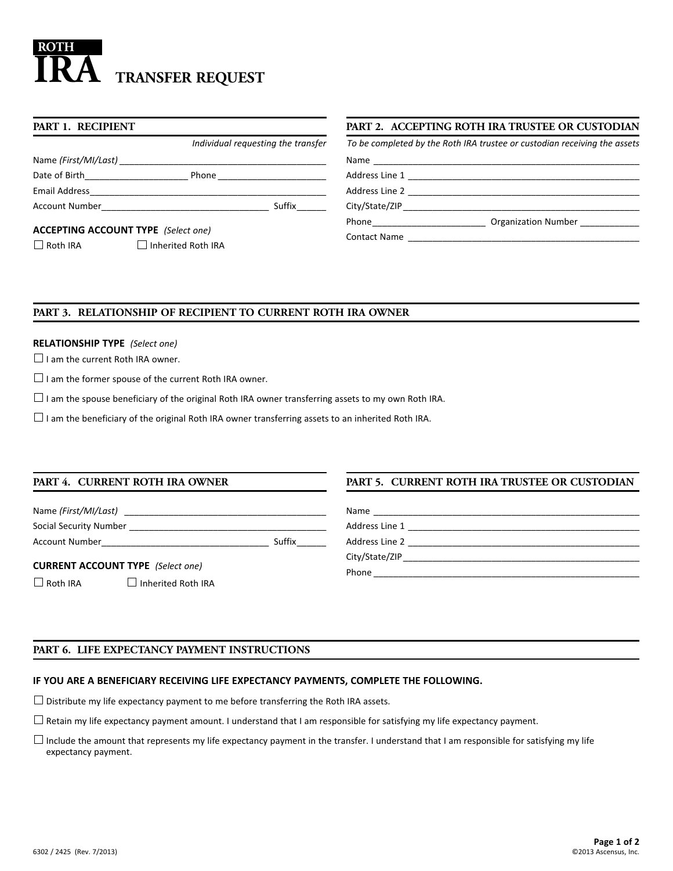# $\overline{\textbf{IRA}}$  transfer request **ROTH**

| PART 1. RECIPIENT                                                                                            |                                    | PART 2. ACC     |
|--------------------------------------------------------------------------------------------------------------|------------------------------------|-----------------|
|                                                                                                              | Individual requesting the transfer | To be completed |
|                                                                                                              |                                    | Name            |
|                                                                                                              |                                    | Address Line 1  |
|                                                                                                              |                                    | Address Line 2  |
|                                                                                                              | Suffix                             | City/State/ZIP  |
|                                                                                                              |                                    | Phone_________  |
| <b>ACCEPTING ACCOUNT TYPE</b> (Select one)<br>$\Box$ Inherited Roth IRA<br>$\overline{\phantom{a}}$ Roth IRA | <b>Contact Name</b>                |                 |

# **PARTING ROTH IRA TRUSTEE OR CUSTODIAN**

|                     | To be completed by the Roth IRA trustee or custodian receiving the assets |
|---------------------|---------------------------------------------------------------------------|
|                     |                                                                           |
|                     |                                                                           |
|                     |                                                                           |
| City/State/ZIP      |                                                                           |
|                     | Organization Number                                                       |
| <b>Contact Name</b> |                                                                           |

# **PART 3. RELATIONSHIP OF RECIPIENT TO CURRENT ROTH IRA OWNER**

# **RELATIONSHIP TYPE** *(Select one)*

 $\Box$  I am the current Roth IRA owner.

 $\Box$  I am the former spouse of the current Roth IRA owner.

 $\Box$  I am the spouse beneficiary of the original Roth IRA owner transferring assets to my own Roth IRA.

 $\Box$  I am the beneficiary of the original Roth IRA owner transferring assets to an inherited Roth IRA.

#### **PART 4. CURRENT ROTH IRA OWNER**

Name *(First/MI/Last)* 

Social Security Number \_\_\_\_\_\_\_\_\_\_\_\_\_\_\_\_\_\_\_\_\_\_\_\_\_\_\_\_\_\_\_\_\_\_\_\_\_\_\_\_ Account Number\_\_\_\_\_\_\_\_\_\_\_\_\_\_\_\_\_\_\_\_\_\_\_\_\_\_\_\_\_\_\_\_\_\_ Suffix\_\_\_\_\_\_

**CURRENT ACCOUNT TYPE** *(Select one)*

 $\Box$  Roth IRA  $\Box$  Inherited Roth IRA

# **PART 5. CURRENT ROTH IRA TRUSTEE OR CUSTODIAN**

| Name           |  |
|----------------|--|
| Address Line 1 |  |
| Address Line 2 |  |
| City/State/ZIP |  |
| Phone          |  |

# **PART 6. LIFE EXPECTANCY PAYMENT INSTRUCTIONS**

# **IF YOU ARE A BENEFICIARY RECEIVING LIFE EXPECTANCY PAYMENTS, COMPLETE THE FOLLOWING.**

 $\Box$  Distribute my life expectancy payment to me before transferring the Roth IRA assets.

 $\Box$  Retain my life expectancy payment amount. I understand that I am responsible for satisfying my life expectancy payment.

 $\Box$  Include the amount that represents my life expectancy payment in the transfer. I understand that I am responsible for satisfying my life expectancy payment.